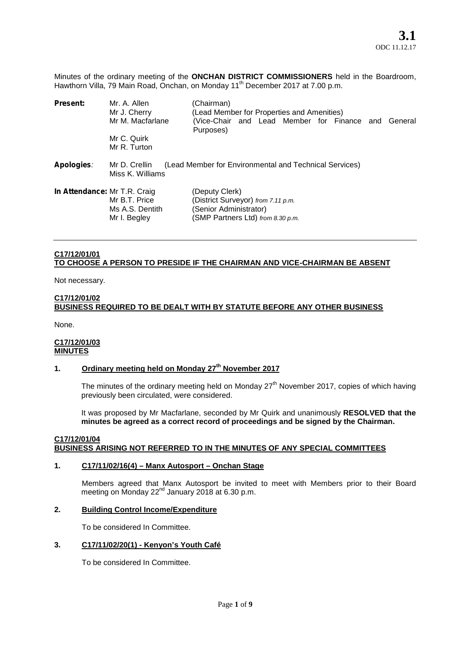Minutes of the ordinary meeting of the **ONCHAN DISTRICT COMMISSIONERS** held in the Boardroom, Hawthorn Villa, 79 Main Road, Onchan, on Monday 11<sup>th</sup> December 2017 at 7.00 p.m.

| <b>Present:</b>                     | Mr. A. Allen<br>Mr J. Cherry                     | (Chairman)<br>(Lead Member for Properties and Amenities)                                                            |
|-------------------------------------|--------------------------------------------------|---------------------------------------------------------------------------------------------------------------------|
|                                     | Mr M. Macfarlane                                 | (Vice-Chair and Lead Member for Finance and General<br>Purposes)                                                    |
|                                     | Mr C. Quirk<br>Mr R. Turton                      |                                                                                                                     |
| Apologies:                          | Mr D. Crellin<br>Miss K. Williams                | (Lead Member for Environmental and Technical Services)                                                              |
| <b>In Attendance: Mr T.R. Craig</b> | Mr B.T. Price<br>Ms A.S. Dentith<br>Mr I. Begley | (Deputy Clerk)<br>(District Surveyor) from 7.11 p.m.<br>(Senior Administrator)<br>(SMP Partners Ltd) from 8.30 p.m. |

# **C17/12/01/01 TO CHOOSE A PERSON TO PRESIDE IF THE CHAIRMAN AND VICE-CHAIRMAN BE ABSENT**

Not necessary.

### **C17/12/01/02**

# **BUSINESS REQUIRED TO BE DEALT WITH BY STATUTE BEFORE ANY OTHER BUSINESS**

None.

### **C17/12/01/03 MINUTES**

# **1. Ordinary meeting held on Monday 27th November 2017**

The minutes of the ordinary meeting held on Monday  $27<sup>th</sup>$  November 2017, copies of which having previously been circulated, were considered.

It was proposed by Mr Macfarlane, seconded by Mr Quirk and unanimously **RESOLVED that the minutes be agreed as a correct record of proceedings and be signed by the Chairman.**

### **C17/12/01/04 BUSINESS ARISING NOT REFERRED TO IN THE MINUTES OF ANY SPECIAL COMMITTEES**

### **1. C17/11/02/16(4) – Manx Autosport – Onchan Stage**

Members agreed that Manx Autosport be invited to meet with Members prior to their Board meeting on Monday 22<sup>nd</sup> January 2018 at 6.30 p.m.

### **2. Building Control Income/Expenditure**

To be considered In Committee.

# **3. C17/11/02/20(1) - Kenyon's Youth Café**

To be considered In Committee.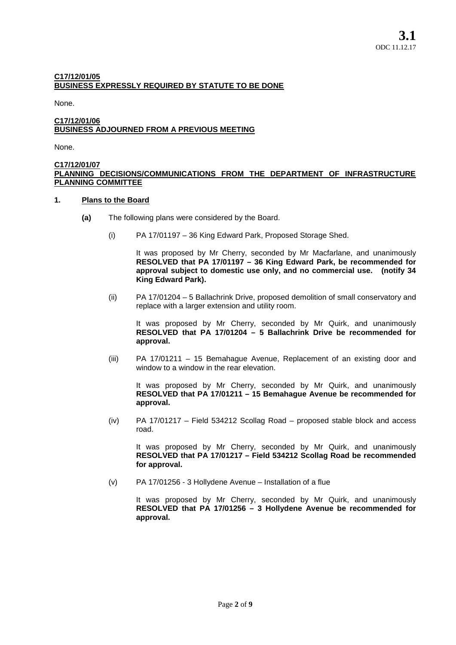# **C17/12/01/05 BUSINESS EXPRESSLY REQUIRED BY STATUTE TO BE DONE**

None.

### **C17/12/01/06 BUSINESS ADJOURNED FROM A PREVIOUS MEETING**

None.

### **C17/12/01/07 PLANNING DECISIONS/COMMUNICATIONS FROM THE DEPARTMENT OF INFRASTRUCTURE PLANNING COMMITTEE**

### **1. Plans to the Board**

- **(a)** The following plans were considered by the Board.
	- (i) PA 17/01197 36 King Edward Park, Proposed Storage Shed.

It was proposed by Mr Cherry, seconded by Mr Macfarlane, and unanimously **RESOLVED that PA 17/01197 – 36 King Edward Park, be recommended for approval subject to domestic use only, and no commercial use. (notify 34 King Edward Park).**

(ii) PA 17/01204 – 5 Ballachrink Drive, proposed demolition of small conservatory and replace with a larger extension and utility room.

It was proposed by Mr Cherry, seconded by Mr Quirk, and unanimously **RESOLVED that PA 17/01204 – 5 Ballachrink Drive be recommended for approval.**

(iii) PA 17/01211 – 15 Bemahague Avenue, Replacement of an existing door and window to a window in the rear elevation.

It was proposed by Mr Cherry, seconded by Mr Quirk, and unanimously **RESOLVED that PA 17/01211 – 15 Bemahague Avenue be recommended for approval.**

(iv) PA 17/01217 – Field 534212 Scollag Road – proposed stable block and access road.

It was proposed by Mr Cherry, seconded by Mr Quirk, and unanimously **RESOLVED that PA 17/01217 – Field 534212 Scollag Road be recommended for approval.**

(v) PA 17/01256 - 3 Hollydene Avenue – Installation of a flue

It was proposed by Mr Cherry, seconded by Mr Quirk, and unanimously **RESOLVED that PA 17/01256 – 3 Hollydene Avenue be recommended for approval.**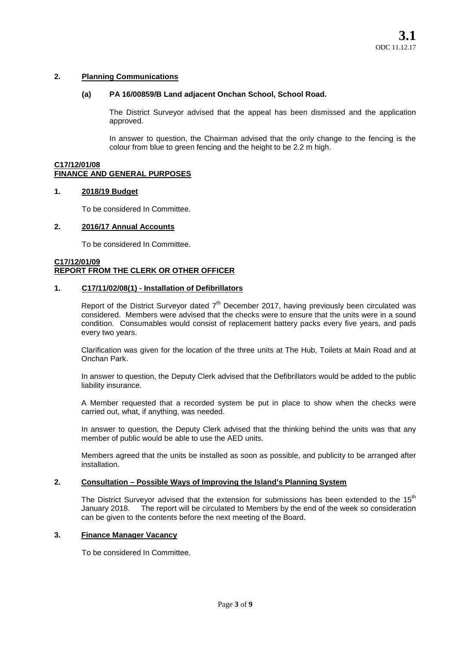### **2. Planning Communications**

### **(a) PA 16/00859/B Land adjacent Onchan School, School Road.**

The District Surveyor advised that the appeal has been dismissed and the application approved.

In answer to question, the Chairman advised that the only change to the fencing is the colour from blue to green fencing and the height to be 2.2 m high.

#### **C17/12/01/08 FINANCE AND GENERAL PURPOSES**

### **1. 2018/19 Budget**

To be considered In Committee.

### **2. 2016/17 Annual Accounts**

To be considered In Committee.

#### **C17/12/01/09 REPORT FROM THE CLERK OR OTHER OFFICER**

### **1. C17/11/02/08(1) - Installation of Defibrillators**

Report of the District Surveyor dated 7<sup>th</sup> December 2017, having previously been circulated was considered. Members were advised that the checks were to ensure that the units were in a sound condition. Consumables would consist of replacement battery packs every five years, and pads every two years.

Clarification was given for the location of the three units at The Hub, Toilets at Main Road and at Onchan Park.

In answer to question, the Deputy Clerk advised that the Defibrillators would be added to the public liability insurance.

A Member requested that a recorded system be put in place to show when the checks were carried out, what, if anything, was needed.

In answer to question, the Deputy Clerk advised that the thinking behind the units was that any member of public would be able to use the AED units.

Members agreed that the units be installed as soon as possible, and publicity to be arranged after installation.

### **2. Consultation – Possible Ways of Improving the Island's Planning System**

The District Surveyor advised that the extension for submissions has been extended to the 15<sup>th</sup> January 2018. The report will be circulated to Members by the end of the week so consideration The report will be circulated to Members by the end of the week so consideration can be given to the contents before the next meeting of the Board.

### **3. Finance Manager Vacancy**

To be considered In Committee.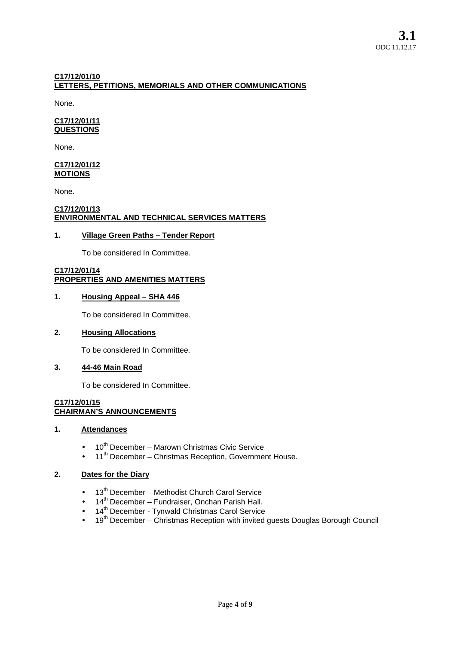# **C17/12/01/10 LETTERS, PETITIONS, MEMORIALS AND OTHER COMMUNICATIONS**

None.

### **C17/12/01/11 QUESTIONS**

None.

#### **C17/12/01/12 MOTIONS**

None.

# **C17/12/01/13 ENVIRONMENTAL AND TECHNICAL SERVICES MATTERS**

# **1. Village Green Paths – Tender Report**

To be considered In Committee.

### **C17/12/01/14 PROPERTIES AND AMENITIES MATTERS**

# **1. Housing Appeal – SHA 446**

To be considered In Committee.

# **2. Housing Allocations**

To be considered In Committee.

# **3. 44-46 Main Road**

To be considered In Committee.

# **C17/12/01/15 CHAIRMAN'S ANNOUNCEMENTS**

# **1. Attendances**

- 10<sup>th</sup> December Marown Christmas Civic Service
- 11<sup>th</sup> December Christmas Reception, Government House.

# **2. Dates for the Diary**

- $\bullet$  13<sup>th</sup> December Methodist Church Carol Service
- $\bullet$  14<sup>th</sup> December Fundraiser, Onchan Parish Hall.
- 14<sup>th</sup> December Tynwald Christmas Carol Service
- $•$  19<sup>th</sup> December Christmas Reception with invited guests Douglas Borough Council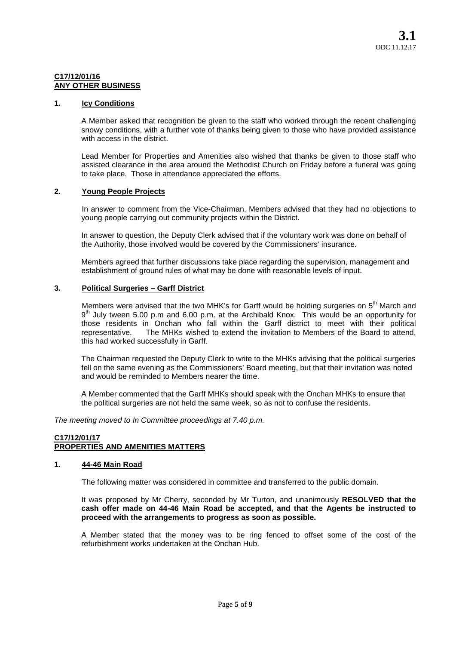### **C17/12/01/16 ANY OTHER BUSINESS**

### **1. Icy Conditions**

A Member asked that recognition be given to the staff who worked through the recent challenging snowy conditions, with a further vote of thanks being given to those who have provided assistance with access in the district.

Lead Member for Properties and Amenities also wished that thanks be given to those staff who assisted clearance in the area around the Methodist Church on Friday before a funeral was going to take place. Those in attendance appreciated the efforts.

# **2. Young People Projects**

In answer to comment from the Vice-Chairman, Members advised that they had no objections to young people carrying out community projects within the District.

In answer to question, the Deputy Clerk advised that if the voluntary work was done on behalf of the Authority, those involved would be covered by the Commissioners' insurance.

Members agreed that further discussions take place regarding the supervision, management and establishment of ground rules of what may be done with reasonable levels of input.

# **3. Political Surgeries – Garff District**

Members were advised that the two MHK's for Garff would be holding surgeries on 5<sup>th</sup> March and 9<sup>th</sup> July tween 5.00 p.m and 6.00 p.m. at the Archibald Knox. This would be an opportunity for those residents in Onchan who fall within the Garff district to meet with their political<br>representative. The MHKs wished to extend the invitation to Members of the Board to attend. The MHKs wished to extend the invitation to Members of the Board to attend. this had worked successfully in Garff.

The Chairman requested the Deputy Clerk to write to the MHKs advising that the political surgeries fell on the same evening as the Commissioners' Board meeting, but that their invitation was noted and would be reminded to Members nearer the time.

A Member commented that the Garff MHKs should speak with the Onchan MHKs to ensure that the political surgeries are not held the same week, so as not to confuse the residents.

*The meeting moved to In Committee proceedings at 7.40 p.m.*

# **C17/12/01/17 PROPERTIES AND AMENITIES MATTERS**

### **1. 44-46 Main Road**

The following matter was considered in committee and transferred to the public domain.

It was proposed by Mr Cherry, seconded by Mr Turton, and unanimously **RESOLVED that the cash offer made on 44-46 Main Road be accepted, and that the Agents be instructed to proceed with the arrangements to progress as soon as possible.**

A Member stated that the money was to be ring fenced to offset some of the cost of the refurbishment works undertaken at the Onchan Hub.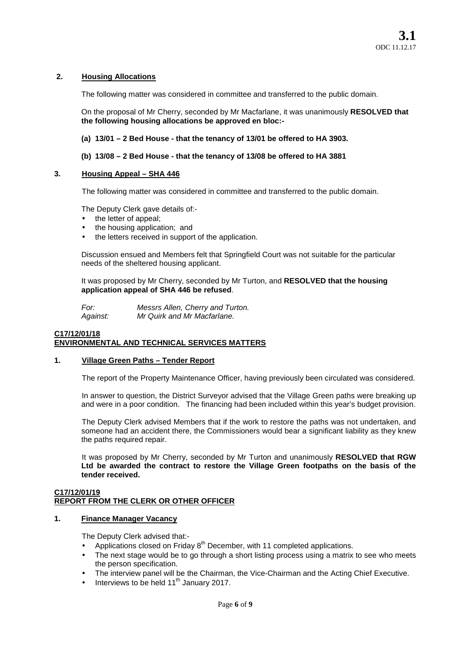# **2. Housing Allocations**

The following matter was considered in committee and transferred to the public domain.

On the proposal of Mr Cherry, seconded by Mr Macfarlane, it was unanimously **RESOLVED that the following housing allocations be approved en bloc:-**

- **(a) 13/01 – 2 Bed House - that the tenancy of 13/01 be offered to HA 3903.**
- **(b) 13/08 – 2 Bed House - that the tenancy of 13/08 be offered to HA 3881**

# **3. Housing Appeal – SHA 446**

The following matter was considered in committee and transferred to the public domain.

The Deputy Clerk gave details of:-

- the letter of appeal;
- the housing application; and
- the letters received in support of the application.

Discussion ensued and Members felt that Springfield Court was not suitable for the particular needs of the sheltered housing applicant.

It was proposed by Mr Cherry, seconded by Mr Turton, and **RESOLVED that the housing application appeal of SHA 446 be refused**.

*For: Messrs Allen, Cherry and Turton. Against: Mr Quirk and Mr Macfarlane.*

# **C17/12/01/18 ENVIRONMENTAL AND TECHNICAL SERVICES MATTERS**

### **1. Village Green Paths – Tender Report**

The report of the Property Maintenance Officer, having previously been circulated was considered.

In answer to question, the District Surveyor advised that the Village Green paths were breaking up and were in a poor condition. The financing had been included within this year's budget provision.

The Deputy Clerk advised Members that if the work to restore the paths was not undertaken, and someone had an accident there, the Commissioners would bear a significant liability as they knew the paths required repair.

It was proposed by Mr Cherry, seconded by Mr Turton and unanimously **RESOLVED that RGW Ltd be awarded the contract to restore the Village Green footpaths on the basis of the tender received.**

### **C17/12/01/19 REPORT FROM THE CLERK OR OTHER OFFICER**

# **1. Finance Manager Vacancy**

The Deputy Clerk advised that:-

- Applications closed on Friday 8<sup>th</sup> December, with 11 completed applications.
- The next stage would be to go through a short listing process using a matrix to see who meets the person specification.
- The interview panel will be the Chairman, the Vice-Chairman and the Acting Chief Executive.
- Interviews to be held 11<sup>th</sup> January 2017.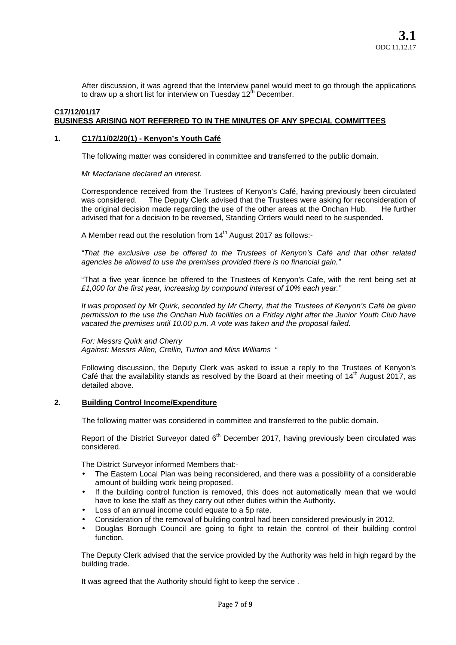After discussion, it was agreed that the Interview panel would meet to go through the applications to draw up a short list for interview on Tuesday 12<sup>th</sup> December.

# **C17/12/01/17 BUSINESS ARISING NOT REFERRED TO IN THE MINUTES OF ANY SPECIAL COMMITTEES**

### **1. C17/11/02/20(1) - Kenyon's Youth Café**

The following matter was considered in committee and transferred to the public domain.

*Mr Macfarlane declared an interest.*

Correspondence received from the Trustees of Kenyon's Café, having previously been circulated was considered. The Deputy Clerk advised that the Trustees were asking for reconsideration of the original decision made regarding the use of the other areas at the Onchan Hub. He further advised that for a decision to be reversed, Standing Orders would need to be suspended.

A Member read out the resolution from  $14<sup>th</sup>$  August 2017 as follows:-

*"That the exclusive use be offered to the Trustees of Kenyon's Café and that other related agencies be allowed to use the premises provided there is no financial gain."*

"That a five year licence be offered to the Trustees of Kenyon's Cafe, with the rent being set at *£1,000 for the first year, increasing by compound interest of 10% each year."*

*It was proposed by Mr Quirk, seconded by Mr Cherry, that the Trustees of Kenyon's Café be given permission to the use the Onchan Hub facilities on a Friday night after the Junior Youth Club have vacated the premises until 10.00 p.m. A vote was taken and the proposal failed.*

*For: Messrs Quirk and Cherry Against: Messrs Allen, Crellin, Turton and Miss Williams "*

Following discussion, the Deputy Clerk was asked to issue a reply to the Trustees of Kenyon's Café that the availability stands as resolved by the Board at their meeting of  $14<sup>th</sup>$  August 2017, as detailed above.

### **2. Building Control Income/Expenditure**

The following matter was considered in committee and transferred to the public domain.

Report of the District Surveyor dated 6<sup>th</sup> December 2017, having previously been circulated was considered.

The District Surveyor informed Members that:-

- The Eastern Local Plan was being reconsidered, and there was a possibility of a considerable amount of building work being proposed.
- If the building control function is removed, this does not automatically mean that we would have to lose the staff as they carry out other duties within the Authority.
- Loss of an annual income could equate to a 5p rate.
- Consideration of the removal of building control had been considered previously in 2012.
- Douglas Borough Council are going to fight to retain the control of their building control function.

The Deputy Clerk advised that the service provided by the Authority was held in high regard by the building trade.

It was agreed that the Authority should fight to keep the service .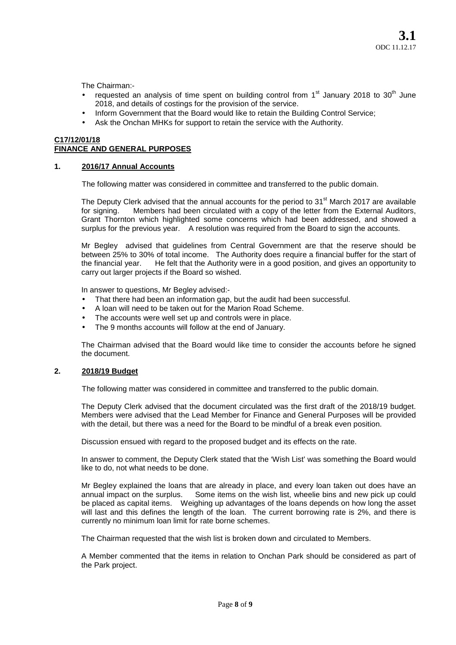The Chairman:-

- requested an analysis of time spent on building control from  $1<sup>st</sup>$  January 2018 to 30<sup>th</sup> June 2018, and details of costings for the provision of the service.
- Inform Government that the Board would like to retain the Building Control Service;
- Ask the Onchan MHKs for support to retain the service with the Authority.

# **C17/12/01/18 FINANCE AND GENERAL PURPOSES**

### **1. 2016/17 Annual Accounts**

The following matter was considered in committee and transferred to the public domain.

The Deputy Clerk advised that the annual accounts for the period to 31<sup>st</sup> March 2017 are available for signing. Members had been circulated with a copy of the letter from the External Auditors, Grant Thornton which highlighted some concerns which had been addressed, and showed a surplus for the previous year. A resolution was required from the Board to sign the accounts.

Mr Begley advised that guidelines from Central Government are that the reserve should be between 25% to 30% of total income. The Authority does require a financial buffer for the start of the financial vear. He felt that the Authority were in a good position, and gives an opportunity to He felt that the Authority were in a good position, and gives an opportunity to carry out larger projects if the Board so wished.

In answer to questions, Mr Begley advised:-

- That there had been an information gap, but the audit had been successful.
- A loan will need to be taken out for the Marion Road Scheme.
- The accounts were well set up and controls were in place.
- The 9 months accounts will follow at the end of January.

The Chairman advised that the Board would like time to consider the accounts before he signed the document.

### **2. 2018/19 Budget**

The following matter was considered in committee and transferred to the public domain.

The Deputy Clerk advised that the document circulated was the first draft of the 2018/19 budget. Members were advised that the Lead Member for Finance and General Purposes will be provided with the detail, but there was a need for the Board to be mindful of a break even position.

Discussion ensued with regard to the proposed budget and its effects on the rate.

In answer to comment, the Deputy Clerk stated that the 'Wish List' was something the Board would like to do, not what needs to be done.

Mr Begley explained the loans that are already in place, and every loan taken out does have an annual impact on the surplus. Some items on the wish list, wheelie bins and new pick up could be placed as capital items. Weighing up advantages of the loans depends on how long the asset will last and this defines the length of the loan. The current borrowing rate is 2%, and there is currently no minimum loan limit for rate borne schemes.

The Chairman requested that the wish list is broken down and circulated to Members.

A Member commented that the items in relation to Onchan Park should be considered as part of the Park project.